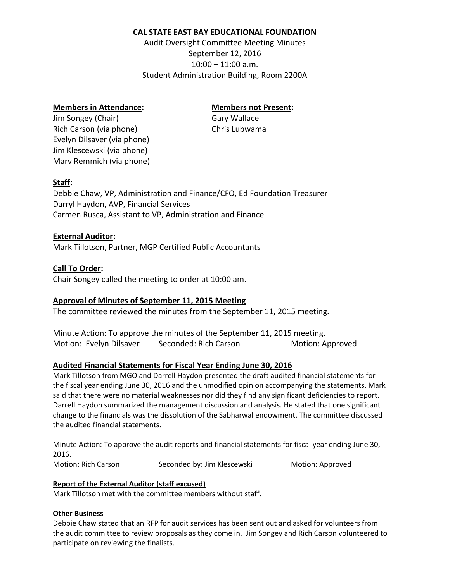## **CAL STATE EAST BAY EDUCATIONAL FOUNDATION**

Audit Oversight Committee Meeting Minutes September 12, 2016 10:00 – 11:00 a.m. Student Administration Building, Room 2200A

#### **Members in Attendance: Members not Present:**

Jim Songey (Chair) Gary Wallace Rich Carson (via phone) Chris Lubwama Evelyn Dilsaver (via phone) Jim Klescewski (via phone) Marv Remmich (via phone)

### **Staff:**

Debbie Chaw, VP, Administration and Finance/CFO, Ed Foundation Treasurer Darryl Haydon, AVP, Financial Services Carmen Rusca, Assistant to VP, Administration and Finance

#### **External Auditor:**

Mark Tillotson, Partner, MGP Certified Public Accountants

### **Call To Order:**

Chair Songey called the meeting to order at 10:00 am.

### **Approval of Minutes of September 11, 2015 Meeting**

The committee reviewed the minutes from the September 11, 2015 meeting.

Minute Action: To approve the minutes of the September 11, 2015 meeting. Motion: Evelyn Dilsaver Seconded: Rich Carson Motion: Approved

### **Audited Financial Statements for Fiscal Year Ending June 30, 2016**

Mark Tillotson from MGO and Darrell Haydon presented the draft audited financial statements for the fiscal year ending June 30, 2016 and the unmodified opinion accompanying the statements. Mark said that there were no material weaknesses nor did they find any significant deficiencies to report. Darrell Haydon summarized the management discussion and analysis. He stated that one significant change to the financials was the dissolution of the Sabharwal endowment. The committee discussed the audited financial statements.

Minute Action: To approve the audit reports and financial statements for fiscal year ending June 30, 2016.

Motion: Rich Carson Seconded by: Jim Klescewski Motion: Approved

### **Report of the External Auditor (staff excused)**

Mark Tillotson met with the committee members without staff.

#### **Other Business**

Debbie Chaw stated that an RFP for audit services has been sent out and asked for volunteers from the audit committee to review proposals as they come in. Jim Songey and Rich Carson volunteered to participate on reviewing the finalists.